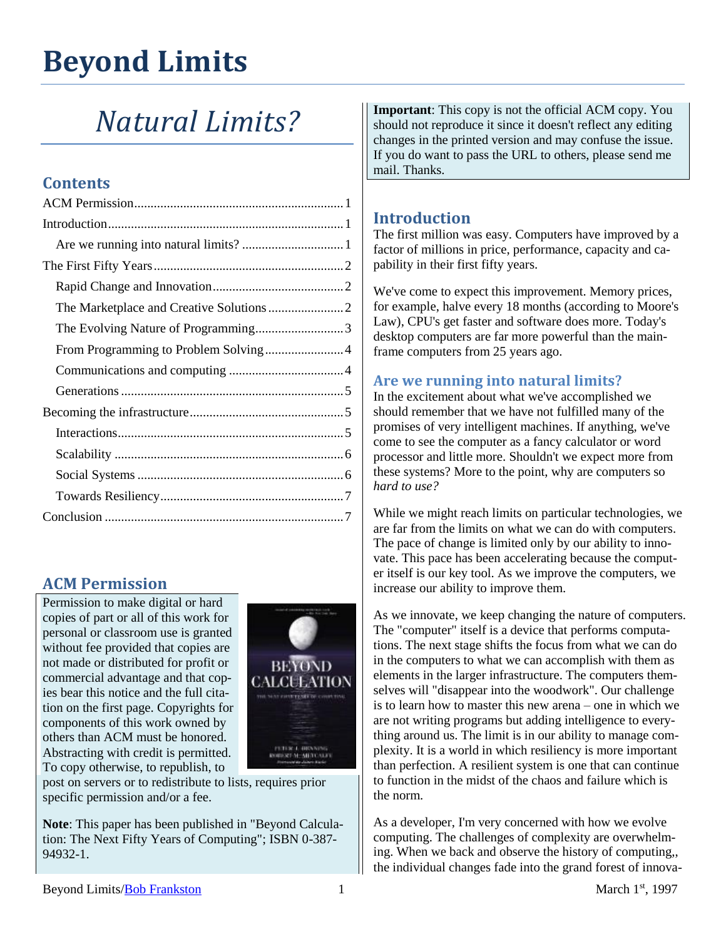# **Beyond Limits**

# *Natural Limits?*

## **Contents**

| The Evolving Nature of Programming3 |  |
|-------------------------------------|--|
|                                     |  |
|                                     |  |
|                                     |  |
|                                     |  |
|                                     |  |
|                                     |  |
|                                     |  |
|                                     |  |
|                                     |  |

## <span id="page-0-0"></span>**ACM Permission**

Permission to make digital or hard copies of part or all of this work for personal or classroom use is granted without fee provided that copies are not made or distributed for profit or commercial advantage and that copies bear this notice and the full citation on the first page. Copyrights for components of this work owned by others than ACM must be honored. Abstracting with credit is permitted. To copy otherwise, to republish, to



post on servers or to redistribute to lists, requires prior specific permission and/or a fee.

**Note**: This paper has been published in "Beyond Calculation: The Next Fifty Years of Computing"; ISBN 0-387- 94932-1.

**Important**: This copy is not the official ACM copy. You should not reproduce it since it doesn't reflect any editing changes in the printed version and may confuse the issue. If you do want to pass the URL to others, please send me mail. Thanks.

## <span id="page-0-1"></span>**Introduction**

The first million was easy. Computers have improved by a factor of millions in price, performance, capacity and capability in their first fifty years.

We've come to expect this improvement. Memory prices, for example, halve every 18 months (according to Moore's Law), CPU's get faster and software does more. Today's desktop computers are far more powerful than the mainframe computers from 25 years ago.

### <span id="page-0-2"></span>**Are we running into natural limits?**

In the excitement about what we've accomplished we should remember that we have not fulfilled many of the promises of very intelligent machines. If anything, we've come to see the computer as a fancy calculator or word processor and little more. Shouldn't we expect more from these systems? More to the point, why are computers so *hard to use?*

While we might reach limits on particular technologies, we are far from the limits on what we can do with computers. The pace of change is limited only by our ability to innovate. This pace has been accelerating because the computer itself is our key tool. As we improve the computers, we increase our ability to improve them.

As we innovate, we keep changing the nature of computers. The "computer" itself is a device that performs computations. The next stage shifts the focus from what we can do in the computers to what we can accomplish with them as elements in the larger infrastructure. The computers themselves will "disappear into the woodwork". Our challenge is to learn how to master this new arena – one in which we are not writing programs but adding intelligence to everything around us. The limit is in our ability to manage complexity. It is a world in which resiliency is more important than perfection. A resilient system is one that can continue to function in the midst of the chaos and failure which is the norm.

As a developer, I'm very concerned with how we evolve computing. The challenges of complexity are overwhelming. When we back and observe the history of computing,, the individual changes fade into the grand forest of innova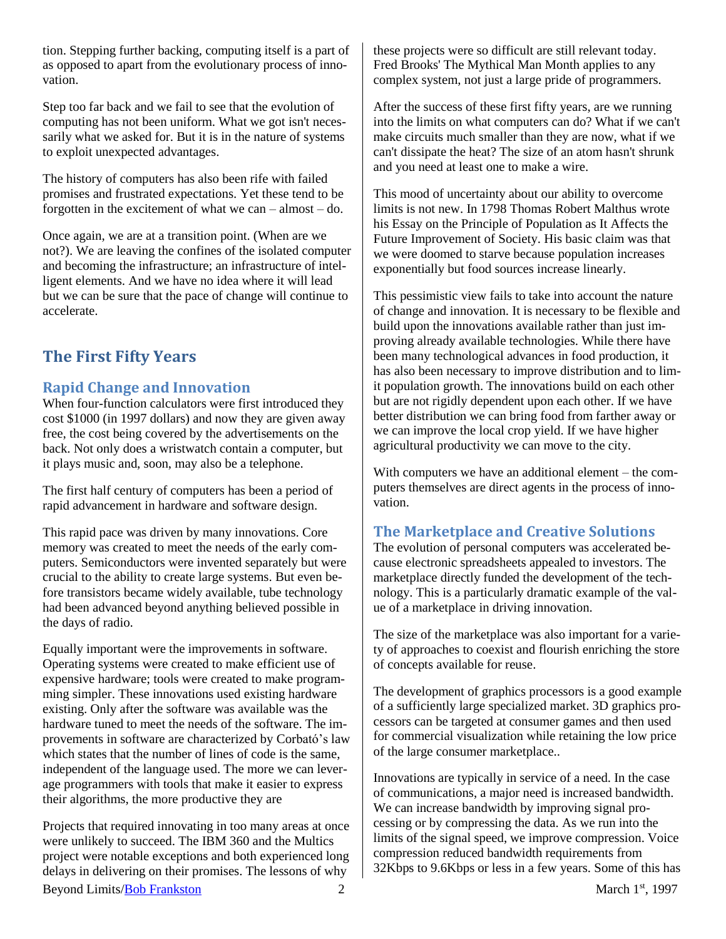tion. Stepping further backing, computing itself is a part of as opposed to apart from the evolutionary process of innovation.

Step too far back and we fail to see that the evolution of computing has not been uniform. What we got isn't necessarily what we asked for. But it is in the nature of systems to exploit unexpected advantages.

The history of computers has also been rife with failed promises and frustrated expectations. Yet these tend to be forgotten in the excitement of what we can – almost – do.

Once again, we are at a transition point. (When are we not?). We are leaving the confines of the isolated computer and becoming the infrastructure; an infrastructure of intelligent elements. And we have no idea where it will lead but we can be sure that the pace of change will continue to accelerate.

# <span id="page-1-0"></span>**The First Fifty Years**

## <span id="page-1-1"></span>**Rapid Change and Innovation**

When four-function calculators were first introduced they cost \$1000 (in 1997 dollars) and now they are given away free, the cost being covered by the advertisements on the back. Not only does a wristwatch contain a computer, but it plays music and, soon, may also be a telephone.

The first half century of computers has been a period of rapid advancement in hardware and software design.

This rapid pace was driven by many innovations. Core memory was created to meet the needs of the early computers. Semiconductors were invented separately but were crucial to the ability to create large systems. But even before transistors became widely available, tube technology had been advanced beyond anything believed possible in the days of radio.

Equally important were the improvements in software. Operating systems were created to make efficient use of expensive hardware; tools were created to make programming simpler. These innovations used existing hardware existing. Only after the software was available was the hardware tuned to meet the needs of the software. The improvements in software are characterized by Corbató's law which states that the number of lines of code is the same, independent of the language used. The more we can leverage programmers with tools that make it easier to express their algorithms, the more productive they are

Projects that required innovating in too many areas at once were unlikely to succeed. The IBM 360 and the Multics project were notable exceptions and both experienced long delays in delivering on their promises. The lessons of why

these projects were so difficult are still relevant today. Fred Brooks' The Mythical Man Month applies to any complex system, not just a large pride of programmers.

After the success of these first fifty years, are we running into the limits on what computers can do? What if we can't make circuits much smaller than they are now, what if we can't dissipate the heat? The size of an atom hasn't shrunk and you need at least one to make a wire.

This mood of uncertainty about our ability to overcome limits is not new. In 1798 Thomas Robert Malthus wrote his Essay on the Principle of Population as It Affects the Future Improvement of Society. His basic claim was that we were doomed to starve because population increases exponentially but food sources increase linearly.

This pessimistic view fails to take into account the nature of change and innovation. It is necessary to be flexible and build upon the innovations available rather than just improving already available technologies. While there have been many technological advances in food production, it has also been necessary to improve distribution and to limit population growth. The innovations build on each other but are not rigidly dependent upon each other. If we have better distribution we can bring food from farther away or we can improve the local crop yield. If we have higher agricultural productivity we can move to the city.

With computers we have an additional element – the computers themselves are direct agents in the process of innovation.

## <span id="page-1-2"></span>**The Marketplace and Creative Solutions**

The evolution of personal computers was accelerated because electronic spreadsheets appealed to investors. The marketplace directly funded the development of the technology. This is a particularly dramatic example of the value of a marketplace in driving innovation.

The size of the marketplace was also important for a variety of approaches to coexist and flourish enriching the store of concepts available for reuse.

The development of graphics processors is a good example of a sufficiently large specialized market. 3D graphics processors can be targeted at consumer games and then used for commercial visualization while retaining the low price of the large consumer marketplace..

Innovations are typically in service of a need. In the case of communications, a major need is increased bandwidth. We can increase bandwidth by improving signal processing or by compressing the data. As we run into the limits of the signal speed, we improve compression. Voice compression reduced bandwidth requirements from 32Kbps to 9.6Kbps or less in a few years. Some of this has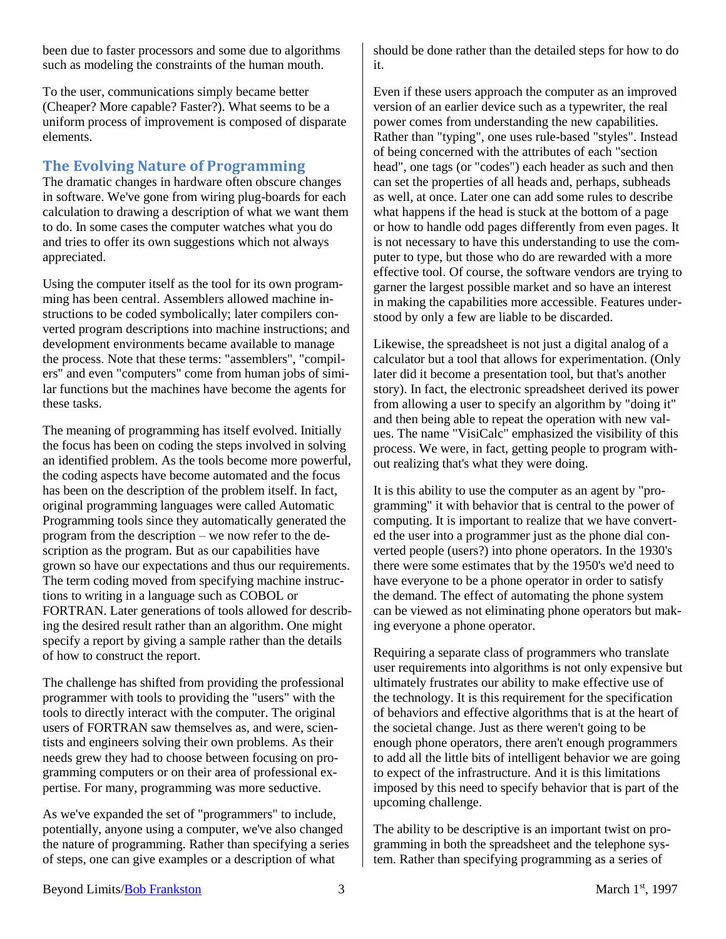been due to faster processors and some due to algorithms such as modeling the constraints of the human mouth.

To the user, communications simply became better (Cheaper? More capable? Faster?). What seems to be a uniform process of improvement is composed of disparate elements.

## <span id="page-2-0"></span>**The Evolving Nature of Programming**

The dramatic changes in hardware often obscure changes in software. We've gone from wiring plug-boards for each calculation to drawing a description of what we want them to do. In some cases the computer watches what you do and tries to offer its own suggestions which not always appreciated.

Using the computer itself as the tool for its own programming has been central. Assemblers allowed machine instructions to be coded symbolically; later compilers converted program descriptions into machine instructions; and development environments became available to manage the process. Note that these terms: "assemblers", "compilers" and even "computers" come from human jobs of similar functions but the machines have become the agents for these tasks.

The meaning of programming has itself evolved. Initially the focus has been on coding the steps involved in solving an identified problem. As the tools become more powerful, the coding aspects have become automated and the focus has been on the description of the problem itself. In fact, original programming languages were called Automatic Programming tools since they automatically generated the program from the description – we now refer to the description as the program. But as our capabilities have grown so have our expectations and thus our requirements. The term coding moved from specifying machine instructions to writing in a language such as COBOL or FORTRAN. Later generations of tools allowed for describing the desired result rather than an algorithm. One might specify a report by giving a sample rather than the details of how to construct the report.

The challenge has shifted from providing the professional programmer with tools to providing the "users" with the tools to directly interact with the computer. The original users of FORTRAN saw themselves as, and were, scientists and engineers solving their own problems. As their needs grew they had to choose between focusing on programming computers or on their area of professional expertise. For many, programming was more seductive.

As we've expanded the set of "programmers" to include, potentially, anyone using a computer, we've also changed the nature of programming. Rather than specifying a series of steps, one can give examples or a description of what

should be done rather than the detailed steps for how to do it.

Even if these users approach the computer as an improved version of an earlier device such as a typewriter, the real power comes from understanding the new capabilities. Rather than "typing", one uses rule-based "styles". Instead of being concerned with the attributes of each "section head", one tags (or "codes") each header as such and then can set the properties of all heads and, perhaps, subheads as well, at once. Later one can add some rules to describe what happens if the head is stuck at the bottom of a page or how to handle odd pages differently from even pages. It is not necessary to have this understanding to use the computer to type, but those who do are rewarded with a more effective tool. Of course, the software vendors are trying to garner the largest possible market and so have an interest in making the capabilities more accessible. Features understood by only a few are liable to be discarded.

Likewise, the spreadsheet is not just a digital analog of a calculator but a tool that allows for experimentation. (Only later did it become a presentation tool, but that's another story). In fact, the electronic spreadsheet derived its power from allowing a user to specify an algorithm by "doing it" and then being able to repeat the operation with new values. The name "VisiCalc" emphasized the visibility of this process. We were, in fact, getting people to program without realizing that's what they were doing.

It is this ability to use the computer as an agent by "programming" it with behavior that is central to the power of computing. It is important to realize that we have converted the user into a programmer just as the phone dial converted people (users?) into phone operators. In the 1930's there were some estimates that by the 1950's we'd need to have everyone to be a phone operator in order to satisfy the demand. The effect of automating the phone system can be viewed as not eliminating phone operators but making everyone a phone operator.

Requiring a separate class of programmers who translate user requirements into algorithms is not only expensive but ultimately frustrates our ability to make effective use of the technology. It is this requirement for the specification of behaviors and effective algorithms that is at the heart of the societal change. Just as there weren't going to be enough phone operators, there aren't enough programmers to add all the little bits of intelligent behavior we are going to expect of the infrastructure. And it is this limitations imposed by this need to specify behavior that is part of the upcoming challenge.

The ability to be descriptive is an important twist on programming in both the spreadsheet and the telephone system. Rather than specifying programming as a series of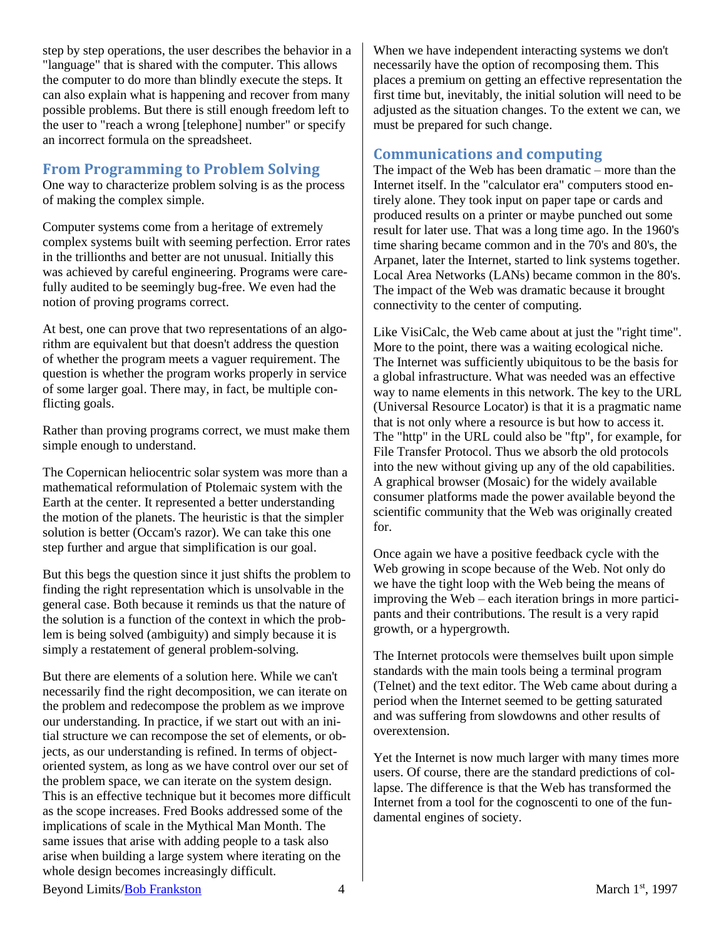step by step operations, the user describes the behavior in a "language" that is shared with the computer. This allows the computer to do more than blindly execute the steps. It can also explain what is happening and recover from many possible problems. But there is still enough freedom left to the user to "reach a wrong [telephone] number" or specify an incorrect formula on the spreadsheet.

#### <span id="page-3-0"></span>**From Programming to Problem Solving**

One way to characterize problem solving is as the process of making the complex simple.

Computer systems come from a heritage of extremely complex systems built with seeming perfection. Error rates in the trillionths and better are not unusual. Initially this was achieved by careful engineering. Programs were carefully audited to be seemingly bug-free. We even had the notion of proving programs correct.

At best, one can prove that two representations of an algorithm are equivalent but that doesn't address the question of whether the program meets a vaguer requirement. The question is whether the program works properly in service of some larger goal. There may, in fact, be multiple conflicting goals.

Rather than proving programs correct, we must make them simple enough to understand.

The Copernican heliocentric solar system was more than a mathematical reformulation of Ptolemaic system with the Earth at the center. It represented a better understanding the motion of the planets. The heuristic is that the simpler solution is better (Occam's razor). We can take this one step further and argue that simplification is our goal.

But this begs the question since it just shifts the problem to finding the right representation which is unsolvable in the general case. Both because it reminds us that the nature of the solution is a function of the context in which the problem is being solved (ambiguity) and simply because it is simply a restatement of general problem-solving.

But there are elements of a solution here. While we can't necessarily find the right decomposition, we can iterate on the problem and redecompose the problem as we improve our understanding. In practice, if we start out with an initial structure we can recompose the set of elements, or objects, as our understanding is refined. In terms of objectoriented system, as long as we have control over our set of the problem space, we can iterate on the system design. This is an effective technique but it becomes more difficult as the scope increases. Fred Books addressed some of the implications of scale in the Mythical Man Month. The same issues that arise with adding people to a task also arise when building a large system where iterating on the whole design becomes increasingly difficult.

When we have independent interacting systems we don't necessarily have the option of recomposing them. This places a premium on getting an effective representation the first time but, inevitably, the initial solution will need to be adjusted as the situation changes. To the extent we can, we must be prepared for such change.

#### <span id="page-3-1"></span>**Communications and computing**

The impact of the Web has been dramatic – more than the Internet itself. In the "calculator era" computers stood entirely alone. They took input on paper tape or cards and produced results on a printer or maybe punched out some result for later use. That was a long time ago. In the 1960's time sharing became common and in the 70's and 80's, the Arpanet, later the Internet, started to link systems together. Local Area Networks (LANs) became common in the 80's. The impact of the Web was dramatic because it brought connectivity to the center of computing.

Like VisiCalc, the Web came about at just the "right time". More to the point, there was a waiting ecological niche. The Internet was sufficiently ubiquitous to be the basis for a global infrastructure. What was needed was an effective way to name elements in this network. The key to the URL (Universal Resource Locator) is that it is a pragmatic name that is not only where a resource is but how to access it. The "http" in the URL could also be "ftp", for example, for File Transfer Protocol. Thus we absorb the old protocols into the new without giving up any of the old capabilities. A graphical browser (Mosaic) for the widely available consumer platforms made the power available beyond the scientific community that the Web was originally created for.

Once again we have a positive feedback cycle with the Web growing in scope because of the Web. Not only do we have the tight loop with the Web being the means of improving the Web – each iteration brings in more participants and their contributions. The result is a very rapid growth, or a hypergrowth.

The Internet protocols were themselves built upon simple standards with the main tools being a terminal program (Telnet) and the text editor. The Web came about during a period when the Internet seemed to be getting saturated and was suffering from slowdowns and other results of overextension.

Yet the Internet is now much larger with many times more users. Of course, there are the standard predictions of collapse. The difference is that the Web has transformed the Internet from a tool for the cognoscenti to one of the fundamental engines of society.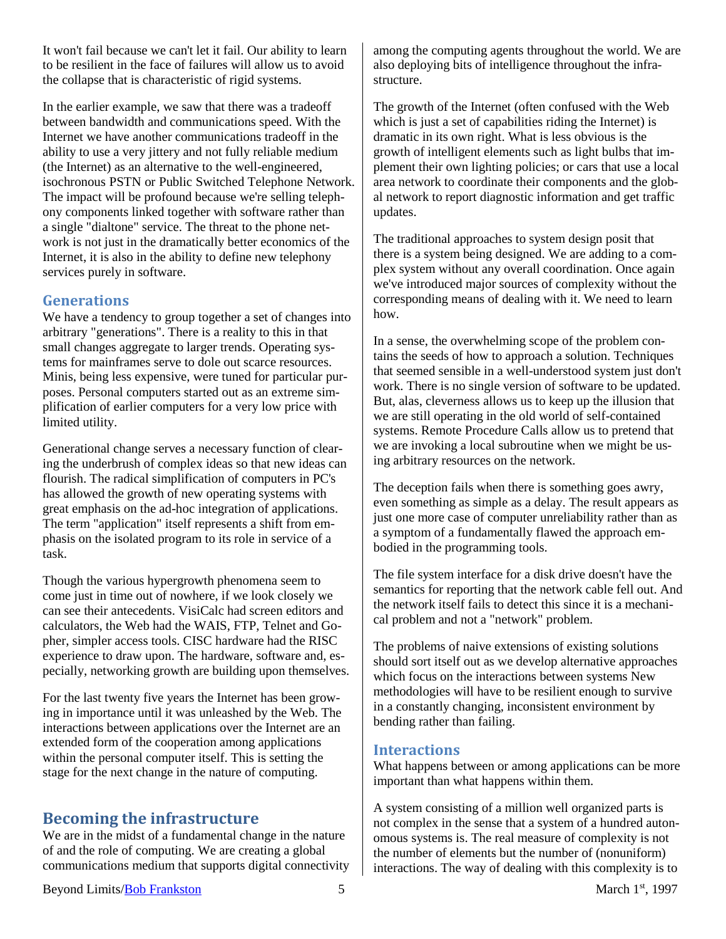It won't fail because we can't let it fail. Our ability to learn to be resilient in the face of failures will allow us to avoid the collapse that is characteristic of rigid systems.

In the earlier example, we saw that there was a tradeoff between bandwidth and communications speed. With the Internet we have another communications tradeoff in the ability to use a very jittery and not fully reliable medium (the Internet) as an alternative to the well-engineered, isochronous PSTN or Public Switched Telephone Network. The impact will be profound because we're selling telephony components linked together with software rather than a single "dialtone" service. The threat to the phone network is not just in the dramatically better economics of the Internet, it is also in the ability to define new telephony services purely in software.

### <span id="page-4-0"></span>**Generations**

We have a tendency to group together a set of changes into arbitrary "generations". There is a reality to this in that small changes aggregate to larger trends. Operating systems for mainframes serve to dole out scarce resources. Minis, being less expensive, were tuned for particular purposes. Personal computers started out as an extreme simplification of earlier computers for a very low price with limited utility.

Generational change serves a necessary function of clearing the underbrush of complex ideas so that new ideas can flourish. The radical simplification of computers in PC's has allowed the growth of new operating systems with great emphasis on the ad-hoc integration of applications. The term "application" itself represents a shift from emphasis on the isolated program to its role in service of a task.

Though the various hypergrowth phenomena seem to come just in time out of nowhere, if we look closely we can see their antecedents. VisiCalc had screen editors and calculators, the Web had the WAIS, FTP, Telnet and Gopher, simpler access tools. CISC hardware had the RISC experience to draw upon. The hardware, software and, especially, networking growth are building upon themselves.

For the last twenty five years the Internet has been growing in importance until it was unleashed by the Web. The interactions between applications over the Internet are an extended form of the cooperation among applications within the personal computer itself. This is setting the stage for the next change in the nature of computing.

## <span id="page-4-1"></span>**Becoming the infrastructure**

We are in the midst of a fundamental change in the nature of and the role of computing. We are creating a global communications medium that supports digital connectivity among the computing agents throughout the world. We are also deploying bits of intelligence throughout the infrastructure.

The growth of the Internet (often confused with the Web which is just a set of capabilities riding the Internet) is dramatic in its own right. What is less obvious is the growth of intelligent elements such as light bulbs that implement their own lighting policies; or cars that use a local area network to coordinate their components and the global network to report diagnostic information and get traffic updates.

The traditional approaches to system design posit that there is a system being designed. We are adding to a complex system without any overall coordination. Once again we've introduced major sources of complexity without the corresponding means of dealing with it. We need to learn how.

In a sense, the overwhelming scope of the problem contains the seeds of how to approach a solution. Techniques that seemed sensible in a well-understood system just don't work. There is no single version of software to be updated. But, alas, cleverness allows us to keep up the illusion that we are still operating in the old world of self-contained systems. Remote Procedure Calls allow us to pretend that we are invoking a local subroutine when we might be using arbitrary resources on the network.

The deception fails when there is something goes awry, even something as simple as a delay. The result appears as just one more case of computer unreliability rather than as a symptom of a fundamentally flawed the approach embodied in the programming tools.

The file system interface for a disk drive doesn't have the semantics for reporting that the network cable fell out. And the network itself fails to detect this since it is a mechanical problem and not a "network" problem.

The problems of naive extensions of existing solutions should sort itself out as we develop alternative approaches which focus on the interactions between systems New methodologies will have to be resilient enough to survive in a constantly changing, inconsistent environment by bending rather than failing.

#### <span id="page-4-2"></span>**Interactions**

What happens between or among applications can be more important than what happens within them.

A system consisting of a million well organized parts is not complex in the sense that a system of a hundred autonomous systems is. The real measure of complexity is not the number of elements but the number of (nonuniform) interactions. The way of dealing with this complexity is to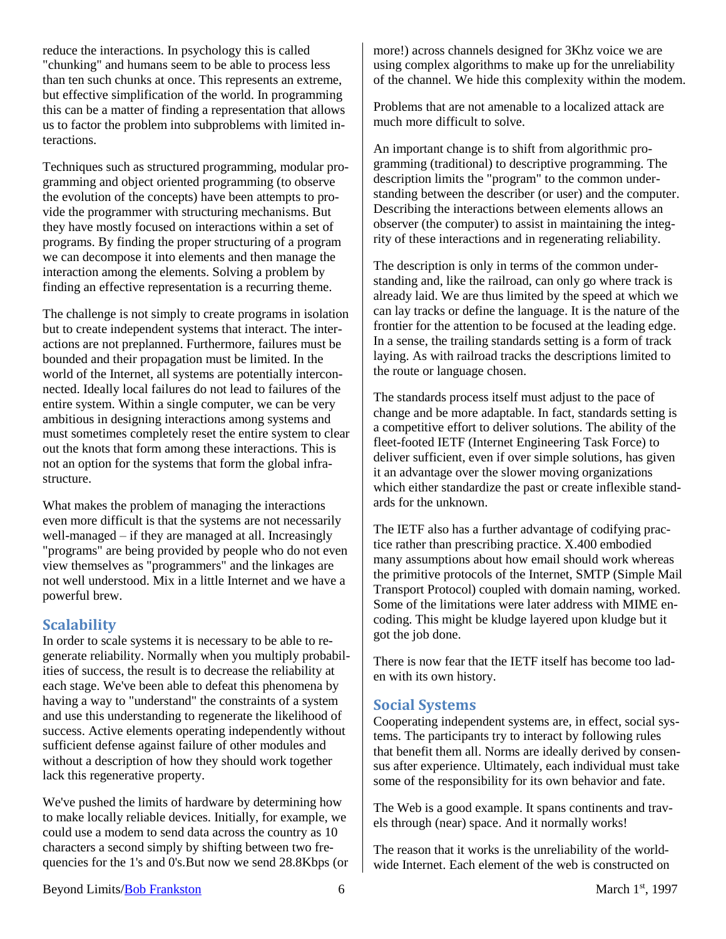reduce the interactions. In psychology this is called "chunking" and humans seem to be able to process less than ten such chunks at once. This represents an extreme, but effective simplification of the world. In programming this can be a matter of finding a representation that allows us to factor the problem into subproblems with limited interactions.

Techniques such as structured programming, modular programming and object oriented programming (to observe the evolution of the concepts) have been attempts to provide the programmer with structuring mechanisms. But they have mostly focused on interactions within a set of programs. By finding the proper structuring of a program we can decompose it into elements and then manage the interaction among the elements. Solving a problem by finding an effective representation is a recurring theme.

The challenge is not simply to create programs in isolation but to create independent systems that interact. The interactions are not preplanned. Furthermore, failures must be bounded and their propagation must be limited. In the world of the Internet, all systems are potentially interconnected. Ideally local failures do not lead to failures of the entire system. Within a single computer, we can be very ambitious in designing interactions among systems and must sometimes completely reset the entire system to clear out the knots that form among these interactions. This is not an option for the systems that form the global infrastructure.

What makes the problem of managing the interactions even more difficult is that the systems are not necessarily well-managed – if they are managed at all. Increasingly "programs" are being provided by people who do not even view themselves as "programmers" and the linkages are not well understood. Mix in a little Internet and we have a powerful brew.

#### <span id="page-5-0"></span>**Scalability**

In order to scale systems it is necessary to be able to regenerate reliability. Normally when you multiply probabilities of success, the result is to decrease the reliability at each stage. We've been able to defeat this phenomena by having a way to "understand" the constraints of a system and use this understanding to regenerate the likelihood of success. Active elements operating independently without sufficient defense against failure of other modules and without a description of how they should work together lack this regenerative property.

We've pushed the limits of hardware by determining how to make locally reliable devices. Initially, for example, we could use a modem to send data across the country as 10 characters a second simply by shifting between two frequencies for the 1's and 0's.But now we send 28.8Kbps (or more!) across channels designed for 3Khz voice we are using complex algorithms to make up for the unreliability of the channel. We hide this complexity within the modem.

Problems that are not amenable to a localized attack are much more difficult to solve.

An important change is to shift from algorithmic programming (traditional) to descriptive programming. The description limits the "program" to the common understanding between the describer (or user) and the computer. Describing the interactions between elements allows an observer (the computer) to assist in maintaining the integrity of these interactions and in regenerating reliability.

The description is only in terms of the common understanding and, like the railroad, can only go where track is already laid. We are thus limited by the speed at which we can lay tracks or define the language. It is the nature of the frontier for the attention to be focused at the leading edge. In a sense, the trailing standards setting is a form of track laying. As with railroad tracks the descriptions limited to the route or language chosen.

The standards process itself must adjust to the pace of change and be more adaptable. In fact, standards setting is a competitive effort to deliver solutions. The ability of the fleet-footed IETF (Internet Engineering Task Force) to deliver sufficient, even if over simple solutions, has given it an advantage over the slower moving organizations which either standardize the past or create inflexible standards for the unknown.

The IETF also has a further advantage of codifying practice rather than prescribing practice. X.400 embodied many assumptions about how email should work whereas the primitive protocols of the Internet, SMTP (Simple Mail Transport Protocol) coupled with domain naming, worked. Some of the limitations were later address with MIME encoding. This might be kludge layered upon kludge but it got the job done.

There is now fear that the IETF itself has become too laden with its own history.

#### <span id="page-5-1"></span>**Social Systems**

Cooperating independent systems are, in effect, social systems. The participants try to interact by following rules that benefit them all. Norms are ideally derived by consensus after experience. Ultimately, each individual must take some of the responsibility for its own behavior and fate.

The Web is a good example. It spans continents and travels through (near) space. And it normally works!

The reason that it works is the unreliability of the worldwide Internet. Each element of the web is constructed on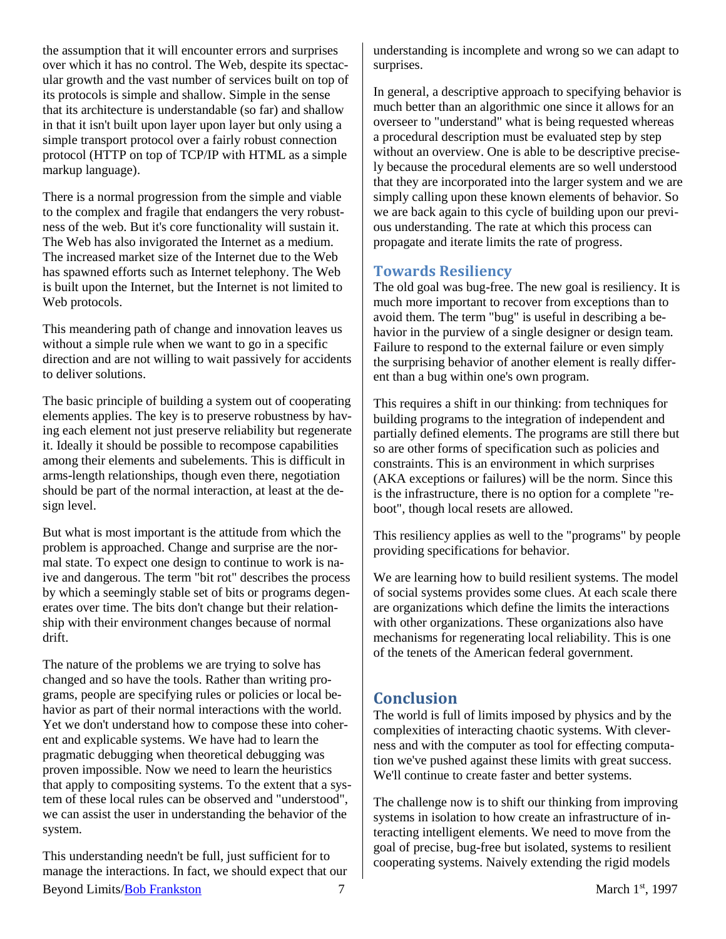the assumption that it will encounter errors and surprises over which it has no control. The Web, despite its spectacular growth and the vast number of services built on top of its protocols is simple and shallow. Simple in the sense that its architecture is understandable (so far) and shallow in that it isn't built upon layer upon layer but only using a simple transport protocol over a fairly robust connection protocol (HTTP on top of TCP/IP with HTML as a simple markup language).

There is a normal progression from the simple and viable to the complex and fragile that endangers the very robustness of the web. But it's core functionality will sustain it. The Web has also invigorated the Internet as a medium. The increased market size of the Internet due to the Web has spawned efforts such as Internet telephony. The Web is built upon the Internet, but the Internet is not limited to Web protocols.

This meandering path of change and innovation leaves us without a simple rule when we want to go in a specific direction and are not willing to wait passively for accidents to deliver solutions.

The basic principle of building a system out of cooperating elements applies. The key is to preserve robustness by having each element not just preserve reliability but regenerate it. Ideally it should be possible to recompose capabilities among their elements and subelements. This is difficult in arms-length relationships, though even there, negotiation should be part of the normal interaction, at least at the design level.

But what is most important is the attitude from which the problem is approached. Change and surprise are the normal state. To expect one design to continue to work is naive and dangerous. The term "bit rot" describes the process by which a seemingly stable set of bits or programs degenerates over time. The bits don't change but their relationship with their environment changes because of normal drift.

The nature of the problems we are trying to solve has changed and so have the tools. Rather than writing programs, people are specifying rules or policies or local behavior as part of their normal interactions with the world. Yet we don't understand how to compose these into coherent and explicable systems. We have had to learn the pragmatic debugging when theoretical debugging was proven impossible. Now we need to learn the heuristics that apply to compositing systems. To the extent that a system of these local rules can be observed and "understood", we can assist the user in understanding the behavior of the system.

Beyond Limits[/Bob Frankston](http://frankston.com/public) 7 7 March 1st, 1997 This understanding needn't be full, just sufficient for to manage the interactions. In fact, we should expect that our

understanding is incomplete and wrong so we can adapt to surprises.

In general, a descriptive approach to specifying behavior is much better than an algorithmic one since it allows for an overseer to "understand" what is being requested whereas a procedural description must be evaluated step by step without an overview. One is able to be descriptive precisely because the procedural elements are so well understood that they are incorporated into the larger system and we are simply calling upon these known elements of behavior. So we are back again to this cycle of building upon our previous understanding. The rate at which this process can propagate and iterate limits the rate of progress.

## <span id="page-6-0"></span>**Towards Resiliency**

The old goal was bug-free. The new goal is resiliency. It is much more important to recover from exceptions than to avoid them. The term "bug" is useful in describing a behavior in the purview of a single designer or design team. Failure to respond to the external failure or even simply the surprising behavior of another element is really different than a bug within one's own program.

This requires a shift in our thinking: from techniques for building programs to the integration of independent and partially defined elements. The programs are still there but so are other forms of specification such as policies and constraints. This is an environment in which surprises (AKA exceptions or failures) will be the norm. Since this is the infrastructure, there is no option for a complete "reboot", though local resets are allowed.

This resiliency applies as well to the "programs" by people providing specifications for behavior.

We are learning how to build resilient systems. The model of social systems provides some clues. At each scale there are organizations which define the limits the interactions with other organizations. These organizations also have mechanisms for regenerating local reliability. This is one of the tenets of the American federal government.

## <span id="page-6-1"></span>**Conclusion**

The world is full of limits imposed by physics and by the complexities of interacting chaotic systems. With cleverness and with the computer as tool for effecting computation we've pushed against these limits with great success. We'll continue to create faster and better systems.

The challenge now is to shift our thinking from improving systems in isolation to how create an infrastructure of interacting intelligent elements. We need to move from the goal of precise, bug-free but isolated, systems to resilient cooperating systems. Naively extending the rigid models